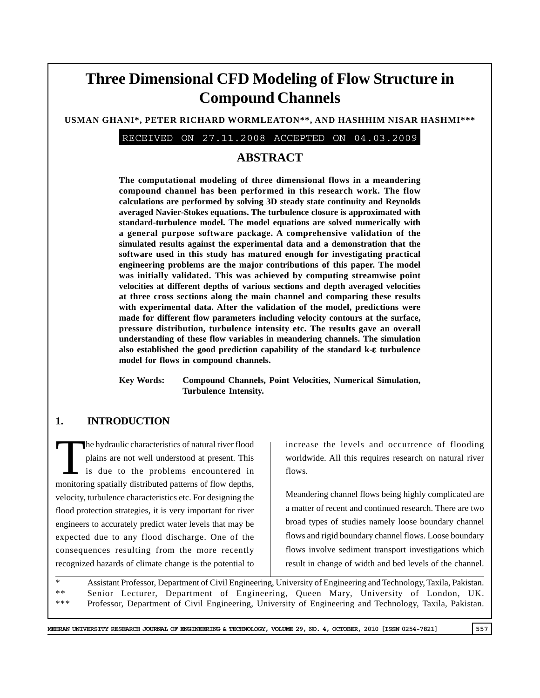# **Three Dimensional CFD Modeling of Flow Structure in Compound Channels**

#### **USMAN GHANI\*, PETER RICHARD WORMLEATON\*\*, AND HASHHIM NISAR HASHMI\*\*\***

RECEIVED ON 27.11.2008 ACCEPTED ON 04.03.2009

# **ABSTRACT**

**The computational modeling of three dimensional flows in a meandering compound channel has been performed in this research work. The flow calculations are performed by solving 3D steady state continuity and Reynolds averaged Navier-Stokes equations. The turbulence closure is approximated with standard-turbulence model. The model equations are solved numerically with a general purpose software package. A comprehensive validation of the simulated results against the experimental data and a demonstration that the software used in this study has matured enough for investigating practical engineering problems are the major contributions of this paper. The model was initially validated. This was achieved by computing streamwise point velocities at different depths of various sections and depth averaged velocities at three cross sections along the main channel and comparing these results with experimental data. After the validation of the model, predictions were made for different flow parameters including velocity contours at the surface, pressure distribution, turbulence intensity etc. The results gave an overall understanding of these flow variables in meandering channels. The simulation also established the good prediction capability of the standard k-**ε **turbulence model for flows in compound channels.**

**Key Words: Compound Channels, Point Velocities, Numerical Simulation, Turbulence Intensity.**

## **1. INTRODUCTION**

The hydraulic characteristics of natural river flood<br>plains are not well understood at present. This<br>is due to the problems encountered in plains are not well understood at present. This is due to the problems encountered in monitoring spatially distributed patterns of flow depths, velocity, turbulence characteristics etc. For designing the flood protection strategies, it is very important for river engineers to accurately predict water levels that may be expected due to any flood discharge. One of the consequences resulting from the more recently recognized hazards of climate change is the potential to

increase the levels and occurrence of flooding worldwide. All this requires research on natural river flows.

Meandering channel flows being highly complicated are a matter of recent and continued research. There are two broad types of studies namely loose boundary channel flows and rigid boundary channel flows. Loose boundary flows involve sediment transport investigations which result in change of width and bed levels of the channel.

\* Assistant Professor, Department of Civil Engineering, University of Engineering and Technology, Taxila, Pakistan. \*\* Senior Lecturer, Department of Engineering, Queen Mary, University of London, UK. \*\*\* Professor, Department of Civil Engineering, University of Engineering and Technology, Taxila, Pakistan.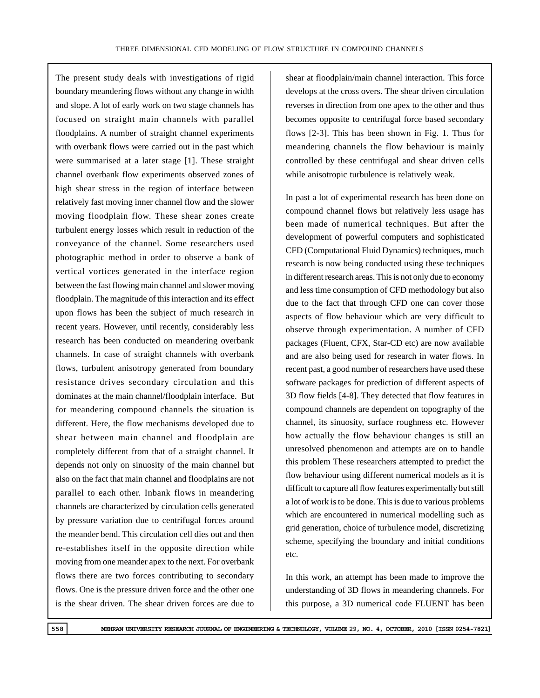The present study deals with investigations of rigid boundary meandering flows without any change in width and slope. A lot of early work on two stage channels has focused on straight main channels with parallel floodplains. A number of straight channel experiments with overbank flows were carried out in the past which were summarised at a later stage [1]. These straight channel overbank flow experiments observed zones of high shear stress in the region of interface between relatively fast moving inner channel flow and the slower moving floodplain flow. These shear zones create turbulent energy losses which result in reduction of the conveyance of the channel. Some researchers used photographic method in order to observe a bank of vertical vortices generated in the interface region between the fast flowing main channel and slower moving floodplain. The magnitude of this interaction and its effect upon flows has been the subject of much research in recent years. However, until recently, considerably less research has been conducted on meandering overbank channels. In case of straight channels with overbank flows, turbulent anisotropy generated from boundary resistance drives secondary circulation and this dominates at the main channel/floodplain interface. But for meandering compound channels the situation is different. Here, the flow mechanisms developed due to shear between main channel and floodplain are completely different from that of a straight channel. It depends not only on sinuosity of the main channel but also on the fact that main channel and floodplains are not parallel to each other. Inbank flows in meandering channels are characterized by circulation cells generated by pressure variation due to centrifugal forces around the meander bend. This circulation cell dies out and then re-establishes itself in the opposite direction while moving from one meander apex to the next. For overbank flows there are two forces contributing to secondary flows. One is the pressure driven force and the other one is the shear driven. The shear driven forces are due to

shear at floodplain/main channel interaction. This force develops at the cross overs. The shear driven circulation reverses in direction from one apex to the other and thus becomes opposite to centrifugal force based secondary flows [2-3]. This has been shown in Fig. 1. Thus for meandering channels the flow behaviour is mainly controlled by these centrifugal and shear driven cells while anisotropic turbulence is relatively weak.

In past a lot of experimental research has been done on compound channel flows but relatively less usage has been made of numerical techniques. But after the development of powerful computers and sophisticated CFD (Computational Fluid Dynamics) techniques, much research is now being conducted using these techniques in different research areas. This is not only due to economy and less time consumption of CFD methodology but also due to the fact that through CFD one can cover those aspects of flow behaviour which are very difficult to observe through experimentation. A number of CFD packages (Fluent, CFX, Star-CD etc) are now available and are also being used for research in water flows. In recent past, a good number of researchers have used these software packages for prediction of different aspects of 3D flow fields [4-8]. They detected that flow features in compound channels are dependent on topography of the channel, its sinuosity, surface roughness etc. However how actually the flow behaviour changes is still an unresolved phenomenon and attempts are on to handle this problem These researchers attempted to predict the flow behaviour using different numerical models as it is difficult to capture all flow features experimentally but still a lot of work is to be done. This is due to various problems which are encountered in numerical modelling such as grid generation, choice of turbulence model, discretizing scheme, specifying the boundary and initial conditions etc.

In this work, an attempt has been made to improve the understanding of 3D flows in meandering channels. For this purpose, a 3D numerical code FLUENT has been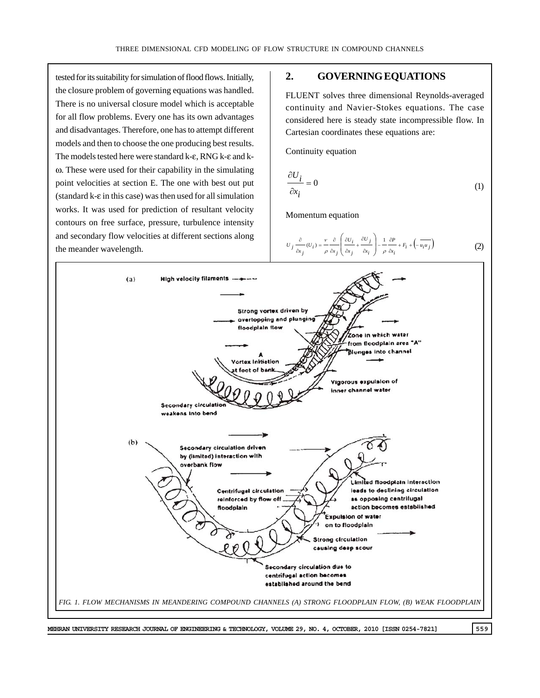tested for its suitability for simulation of flood flows. Initially, the closure problem of governing equations was handled. There is no universal closure model which is acceptable for all flow problems. Every one has its own advantages and disadvantages. Therefore, one has to attempt different models and then to choose the one producing best results. The models tested here were standard k-ε, RNG k-ε and kω. These were used for their capability in the simulating point velocities at section E. The one with best out put (standard k-ε in this case) was then used for all simulation works. It was used for prediction of resultant velocity contours on free surface, pressure, turbulence intensity and secondary flow velocities at different sections along the meander wavelength.

#### **2. GOVERNING EQUATIONS**

FLUENT solves three dimensional Reynolds-averaged continuity and Navier-Stokes equations. The case considered here is steady state incompressible flow. In Cartesian coordinates these equations are:

Continuity equation

$$
\frac{\partial U_i}{\partial x_i} = 0 \tag{1}
$$

Momentum equation

$$
U_j \frac{\partial}{\partial x_j} (U_i) = \frac{v}{\rho} \frac{\partial}{\partial x_j} \left( \frac{\partial U_i}{\partial x_j} + \frac{\partial U_j}{\partial x_i} \right) - \frac{1}{\rho} \frac{\partial P}{\partial x_i} + F_i + \left( - \overline{u_i u_j} \right) \tag{2}
$$

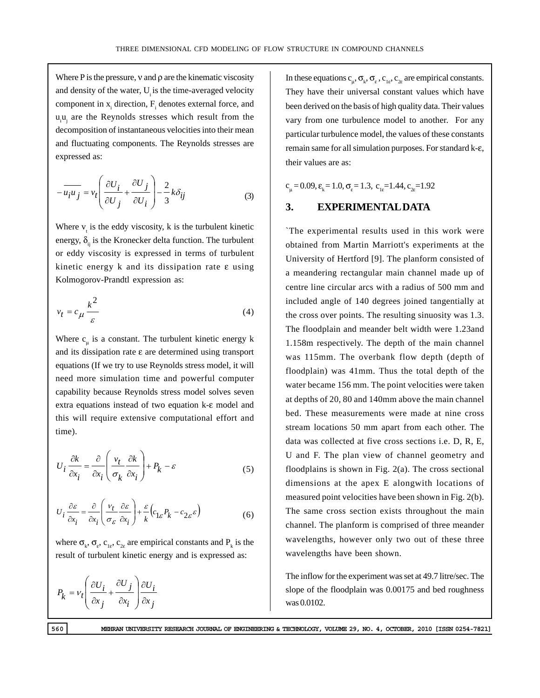Where P is the pressure,  $v$  and  $\rho$  are the kinematic viscosity and density of the water, U is the time-averaged velocity component in  $x_i$  direction,  $F_i$  denotes external force, and  $u_i u_i$  are the Reynolds stresses which result from the decomposition of instantaneous velocities into their mean and fluctuating components. The Reynolds stresses are expressed as:

$$
-\overline{u_i u_j} = v_t \left( \frac{\partial U_i}{\partial U_j} + \frac{\partial U_j}{\partial U_i} \right) - \frac{2}{3} k \delta_{ij}
$$
 (3)

Where  $v_t$  is the eddy viscosity, k is the turbulent kinetic energy,  $\delta_{ii}$  is the Kronecker delta function. The turbulent or eddy viscosity is expressed in terms of turbulent kinetic energy k and its dissipation rate ε using Kolmogorov-Prandtl expression as:

$$
v_t = c_\mu \frac{k^2}{\varepsilon} \tag{4}
$$

Where  $c_{\mu}$  is a constant. The turbulent kinetic energy k and its dissipation rate ε are determined using transport equations (If we try to use Reynolds stress model, it will need more simulation time and powerful computer capability because Reynolds stress model solves seven extra equations instead of two equation k-ε model and this will require extensive computational effort and time).

$$
U_i \frac{\partial k}{\partial x_i} = \frac{\partial}{\partial x_i} \left( \frac{v_t}{\sigma_k} \frac{\partial k}{\partial x_i} \right) + P_k - \varepsilon
$$
 (5)

$$
U_i \frac{\partial \varepsilon}{\partial x_i} = \frac{\partial}{\partial x_i} \left( \frac{v_t}{\sigma_{\varepsilon}} \frac{\partial \varepsilon}{\partial x_i} \right) + \frac{\varepsilon}{k} \left( c_{1\varepsilon} P_k - c_{2\varepsilon} \varepsilon \right)
$$
(6)

where  $\sigma_{k}$ ,  $\sigma_{e}$ ,  $c_{1e}$ ,  $c_{2e}$  are empirical constants and  $P_{k}$  is the result of turbulent kinetic energy and is expressed as:

$$
P_k = v_t \left( \frac{\partial U_i}{\partial x_j} + \frac{\partial U_j}{\partial x_i} \right) \frac{\partial U_i}{\partial x_j}
$$

In these equations  $c_{\mu}, \sigma_{k}, \sigma_{\varepsilon}, c_{1\varepsilon}, c_{2\varepsilon}$  are empirical constants. They have their universal constant values which have been derived on the basis of high quality data. Their values vary from one turbulence model to another. For any particular turbulence model, the values of these constants remain same for all simulation purposes. For standard k-ε, their values are as:

 $c_{\mu} = 0.09$ ,  $\varepsilon_{k} = 1.0$ ,  $\sigma_{\varepsilon} = 1.3$ ,  $c_{1\varepsilon} = 1.44$ ,  $c_{2\varepsilon} = 1.92$ 

#### **3. EXPERIMENTAL DATA**

`The experimental results used in this work were obtained from Martin Marriott's experiments at the University of Hertford [9]. The planform consisted of a meandering rectangular main channel made up of centre line circular arcs with a radius of 500 mm and included angle of 140 degrees joined tangentially at the cross over points. The resulting sinuosity was 1.3. The floodplain and meander belt width were 1.23and 1.158m respectively. The depth of the main channel was 115mm. The overbank flow depth (depth of floodplain) was 41mm. Thus the total depth of the water became 156 mm. The point velocities were taken at depths of 20, 80 and 140mm above the main channel bed. These measurements were made at nine cross stream locations 50 mm apart from each other. The data was collected at five cross sections i.e. D, R, E, U and F. The plan view of channel geometry and floodplains is shown in Fig. 2(a). The cross sectional dimensions at the apex E alongwith locations of measured point velocities have been shown in Fig. 2(b). The same cross section exists throughout the main channel. The planform is comprised of three meander wavelengths, however only two out of these three wavelengths have been shown.

The inflow for the experiment was set at 49.7 litre/sec. The slope of the floodplain was 0.00175 and bed roughness was 0.0102.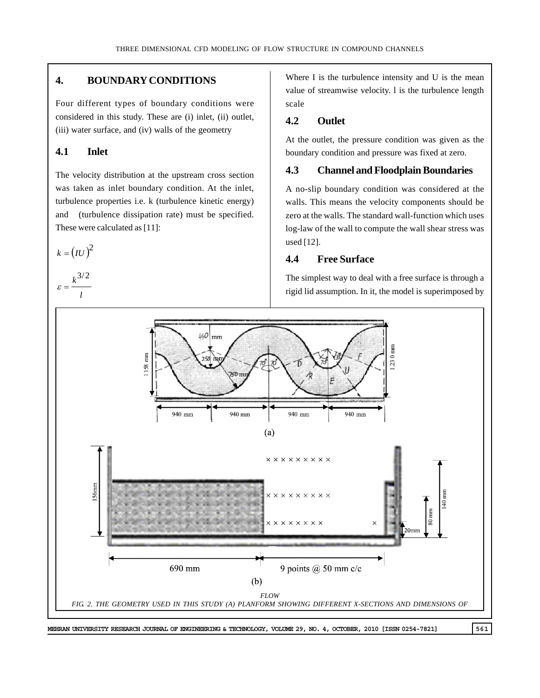## **4. BOUNDARY CONDITIONS**

Four different types of boundary conditions were considered in this study. These are (i) inlet, (ii) outlet, (iii) water surface, and (iv) walls of the geometry

## **4.1 Inlet**

The velocity distribution at the upstream cross section was taken as inlet boundary condition. At the inlet, turbulence properties i.e. k (turbulence kinetic energy) and (turbulence dissipation rate) must be specified. These were calculated as [11]:

 $k = (IU)^2$ *<sup>k</sup>*3/2

$$
\varepsilon = \frac{N}{l}
$$

Where I is the turbulence intensity and U is the mean value of streamwise velocity. l is the turbulence length scale

# **4.2 Outlet**

At the outlet, the pressure condition was given as the boundary condition and pressure was fixed at zero.

## **4.3 Channel and Floodplain Boundaries**

A no-slip boundary condition was considered at the walls. This means the velocity components should be zero at the walls. The standard wall-function which uses log-law of the wall to compute the wall shear stress was used [12].

# **4.4 Free Surface**

The simplest way to deal with a free surface is through a rigid lid assumption. In it, the model is superimposed by

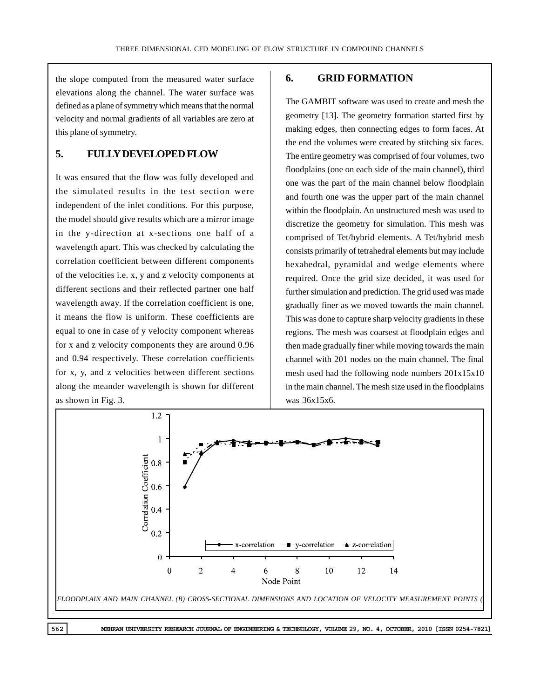the slope computed from the measured water surface elevations along the channel. The water surface was defined as a plane of symmetry which means that the normal velocity and normal gradients of all variables are zero at this plane of symmetry.

## **5. FULLY DEVELOPED FLOW**

It was ensured that the flow was fully developed and the simulated results in the test section were independent of the inlet conditions. For this purpose, the model should give results which are a mirror image in the y-direction at x-sections one half of a wavelength apart. This was checked by calculating the correlation coefficient between different components of the velocities i.e. x, y and z velocity components at different sections and their reflected partner one half wavelength away. If the correlation coefficient is one, it means the flow is uniform. These coefficients are equal to one in case of y velocity component whereas for x and z velocity components they are around 0.96 and 0.94 respectively. These correlation coefficients for x, y, and z velocities between different sections along the meander wavelength is shown for different as shown in Fig. 3.

# **6. GRID FORMATION**

The GAMBIT software was used to create and mesh the geometry [13]. The geometry formation started first by making edges, then connecting edges to form faces. At the end the volumes were created by stitching six faces. The entire geometry was comprised of four volumes, two floodplains (one on each side of the main channel), third one was the part of the main channel below floodplain and fourth one was the upper part of the main channel within the floodplain. An unstructured mesh was used to discretize the geometry for simulation. This mesh was comprised of Tet/hybrid elements. A Tet/hybrid mesh consists primarily of tetrahedral elements but may include hexahedral, pyramidal and wedge elements where required. Once the grid size decided, it was used for further simulation and prediction. The grid used was made gradually finer as we moved towards the main channel. This was done to capture sharp velocity gradients in these regions. The mesh was coarsest at floodplain edges and then made gradually finer while moving towards the main channel with 201 nodes on the main channel. The final mesh used had the following node numbers 201x15x10 in the main channel. The mesh size used in the floodplains was 36x15x6.

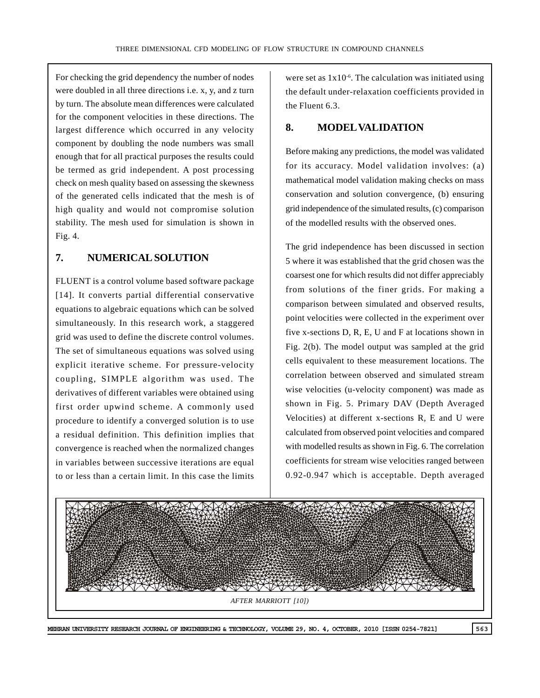For checking the grid dependency the number of nodes were doubled in all three directions i.e. x, y, and z turn by turn. The absolute mean differences were calculated for the component velocities in these directions. The largest difference which occurred in any velocity component by doubling the node numbers was small enough that for all practical purposes the results could be termed as grid independent. A post processing check on mesh quality based on assessing the skewness of the generated cells indicated that the mesh is of high quality and would not compromise solution stability. The mesh used for simulation is shown in Fig. 4.

## **7. NUMERICAL SOLUTION**

FLUENT is a control volume based software package [14]. It converts partial differential conservative equations to algebraic equations which can be solved simultaneously. In this research work, a staggered grid was used to define the discrete control volumes. The set of simultaneous equations was solved using explicit iterative scheme. For pressure-velocity coupling, SIMPLE algorithm was used. The derivatives of different variables were obtained using first order upwind scheme. A commonly used procedure to identify a converged solution is to use a residual definition. This definition implies that convergence is reached when the normalized changes in variables between successive iterations are equal to or less than a certain limit. In this case the limits

were set as  $1x10^{-6}$ . The calculation was initiated using the default under-relaxation coefficients provided in the Fluent 6.3.

#### **8. MODEL VALIDATION**

Before making any predictions, the model was validated for its accuracy. Model validation involves: (a) mathematical model validation making checks on mass conservation and solution convergence, (b) ensuring grid independence of the simulated results, (c) comparison of the modelled results with the observed ones.

The grid independence has been discussed in section 5 where it was established that the grid chosen was the coarsest one for which results did not differ appreciably from solutions of the finer grids. For making a comparison between simulated and observed results, point velocities were collected in the experiment over five x-sections D, R, E, U and F at locations shown in Fig. 2(b). The model output was sampled at the grid cells equivalent to these measurement locations. The correlation between observed and simulated stream wise velocities (u-velocity component) was made as shown in Fig. 5. Primary DAV (Depth Averaged Velocities) at different x-sections R, E and U were calculated from observed point velocities and compared with modelled results as shown in Fig. 6. The correlation coefficients for stream wise velocities ranged between 0.92-0.947 which is acceptable. Depth averaged

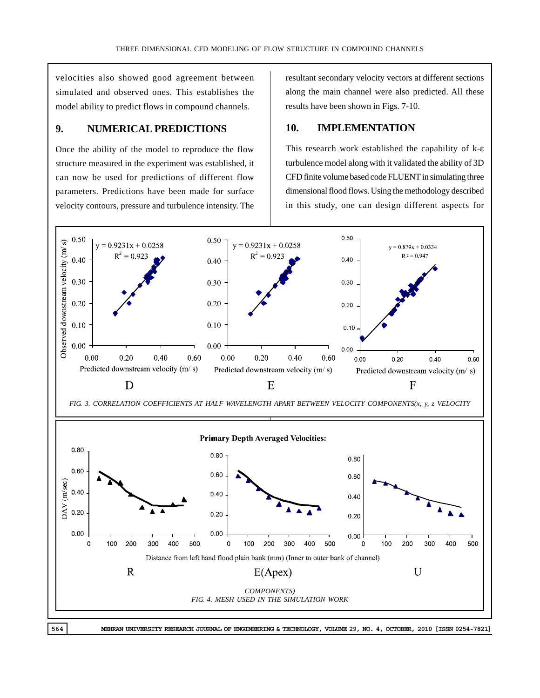velocities also showed good agreement between simulated and observed ones. This establishes the model ability to predict flows in compound channels.

## **9. NUMERICAL PREDICTIONS**

Once the ability of the model to reproduce the flow structure measured in the experiment was established, it can now be used for predictions of different flow parameters. Predictions have been made for surface velocity contours, pressure and turbulence intensity. The resultant secondary velocity vectors at different sections along the main channel were also predicted. All these results have been shown in Figs. 7-10.

## **10. IMPLEMENTATION**

This research work established the capability of k-ε turbulence model along with it validated the ability of 3D CFD finite volume based code FLUENT in simulating three dimensional flood flows. Using the methodology described in this study, one can design different aspects for

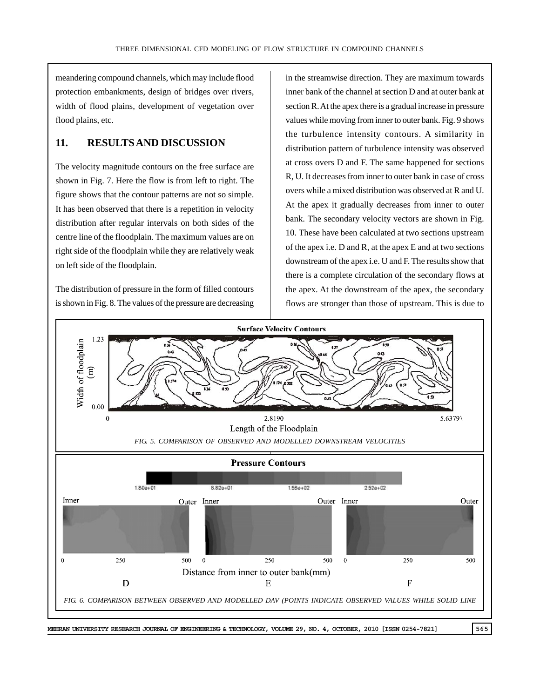meandering compound channels, which may include flood protection embankments, design of bridges over rivers, width of flood plains, development of vegetation over flood plains, etc.

## **11. RESULTS AND DISCUSSION**

The velocity magnitude contours on the free surface are shown in Fig. 7. Here the flow is from left to right. The figure shows that the contour patterns are not so simple. It has been observed that there is a repetition in velocity distribution after regular intervals on both sides of the centre line of the floodplain. The maximum values are on right side of the floodplain while they are relatively weak on left side of the floodplain.

The distribution of pressure in the form of filled contours is shown in Fig. 8. The values of the pressure are decreasing in the streamwise direction. They are maximum towards inner bank of the channel at section D and at outer bank at section R. At the apex there is a gradual increase in pressure values while moving from inner to outer bank. Fig. 9 shows the turbulence intensity contours. A similarity in distribution pattern of turbulence intensity was observed at cross overs D and F. The same happened for sections R, U. It decreases from inner to outer bank in case of cross overs while a mixed distribution was observed at R and U. At the apex it gradually decreases from inner to outer bank. The secondary velocity vectors are shown in Fig. 10. These have been calculated at two sections upstream of the apex i.e. D and R, at the apex E and at two sections downstream of the apex i.e. U and F. The results show that there is a complete circulation of the secondary flows at the apex. At the downstream of the apex, the secondary flows are stronger than those of upstream. This is due to

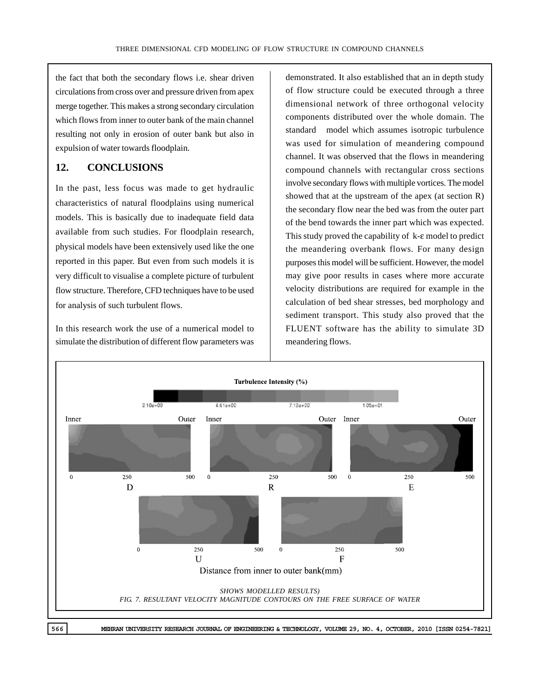the fact that both the secondary flows i.e. shear driven circulations from cross over and pressure driven from apex merge together. This makes a strong secondary circulation which flows from inner to outer bank of the main channel resulting not only in erosion of outer bank but also in expulsion of water towards floodplain.

## **12. CONCLUSIONS**

In the past, less focus was made to get hydraulic characteristics of natural floodplains using numerical models. This is basically due to inadequate field data available from such studies. For floodplain research, physical models have been extensively used like the one reported in this paper. But even from such models it is very difficult to visualise a complete picture of turbulent flow structure. Therefore, CFD techniques have to be used for analysis of such turbulent flows.

In this research work the use of a numerical model to simulate the distribution of different flow parameters was demonstrated. It also established that an in depth study of flow structure could be executed through a three dimensional network of three orthogonal velocity components distributed over the whole domain. The standard model which assumes isotropic turbulence was used for simulation of meandering compound channel. It was observed that the flows in meandering compound channels with rectangular cross sections involve secondary flows with multiple vortices. The model showed that at the upstream of the apex (at section R) the secondary flow near the bed was from the outer part of the bend towards the inner part which was expected. This study proved the capability of k-ε model to predict the meandering overbank flows. For many design purposes this model will be sufficient. However, the model may give poor results in cases where more accurate velocity distributions are required for example in the calculation of bed shear stresses, bed morphology and sediment transport. This study also proved that the FLUENT software has the ability to simulate 3D meandering flows.

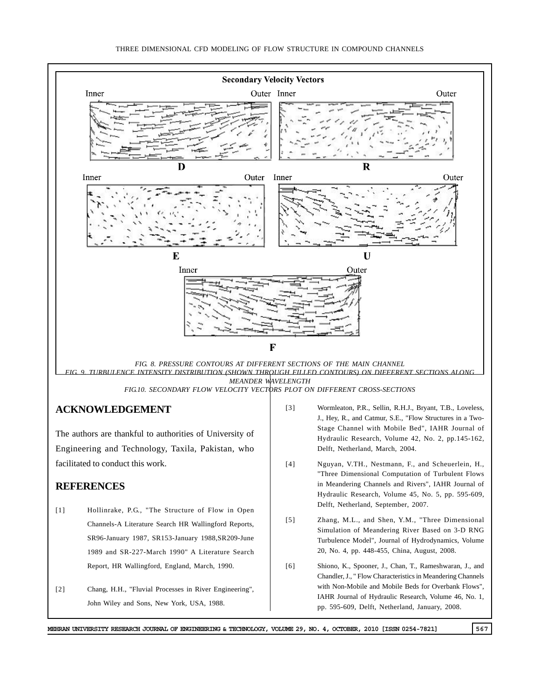

- [1] Hollinrake, P.G., "The Structure of Flow in Open Channels-A Literature Search HR Wallingford Reports, SR96-January 1987, SR153-January 1988,SR209-June 1989 and SR-227-March 1990" A Literature Search Report, HR Wallingford, England, March, 1990.
- [2] Chang, H.H., "Fluvial Processes in River Engineering", John Wiley and Sons, New York, USA, 1988.
- in Meandering Channels and Rivers", IAHR Journal of Hydraulic Research, Volume 45, No. 5, pp. 595-609, Delft, Netherland, September, 2007.
- [5] Zhang, M.L., and Shen, Y.M., "Three Dimensional Simulation of Meandering River Based on 3-D RNG Turbulence Model", Journal of Hydrodynamics, Volume 20, No. 4, pp. 448-455, China, August, 2008.
- [6] Shiono, K., Spooner, J., Chan, T., Rameshwaran, J., and Chandler, J., " Flow Characteristics in Meandering Channels with Non-Mobile and Mobile Beds for Overbank Flows", IAHR Journal of Hydraulic Research, Volume 46, No. 1, pp. 595-609, Delft, Netherland, January, 2008.